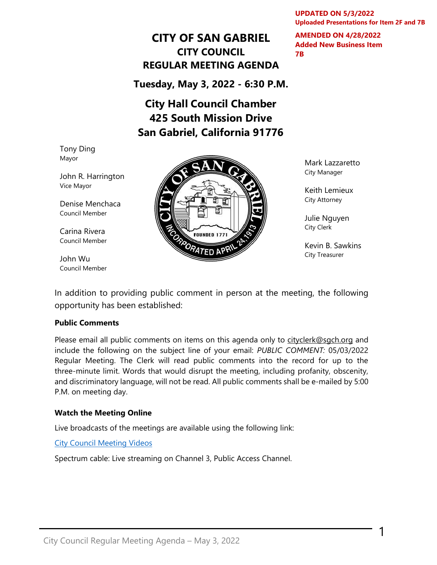**UPDATED ON 5/3/2022 Uploaded Presentations for Item 2F and 7B**

**AMENDED ON 4/28/2022** 

**Added New Business Item** 

**7B**

## **CITY OF SAN GABRIEL CITY COUNCIL REGULAR MEETING AGENDA**

**Tuesday, May 3, 2022 - 6:30 P.M.**

# **City Hall Council Chamber 425 South Mission Drive San Gabriel, California 91776**

Tony Ding Mayor

John R. Harrington Vice Mayor

Denise Menchaca Council Member

Carina Rivera Council Member

John Wu Council Member



Mark Lazzaretto City Manager

Keith Lemieux City Attorney

Julie Nguyen City Clerk

Kevin B. Sawkins City Treasurer

1

In addition to providing public comment in person at the meeting, the following opportunity has been established:

#### **Public Comments**

Please email all public comments on items on this agenda only to [cityclerk@sgch.org](mailto:cityclerk@sgch.org) and include the following on the subject line of your email: *PUBLIC COMMENT:* 05/03/2022 Regular Meeting. The Clerk will read public comments into the record for up to the three-minute limit. Words that would disrupt the meeting, including profanity, obscenity, and discriminatory language, will not be read. All public comments shall be e-mailed by 5:00 P.M. on meeting day.

#### **Watch the Meeting Online**

Live broadcasts of the meetings are available using the following link:

[City Council Meeting Videos](https://www.youtube.com/CityofSanGabriel)

Spectrum cable: Live streaming on Channel 3, Public Access Channel.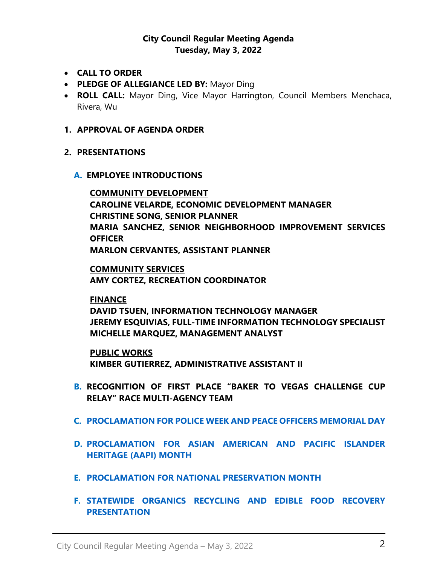## **City Council Regular Meeting Agenda Tuesday, May 3, 2022**

- **CALL TO ORDER**
- **PLEDGE OF ALLEGIANCE LED BY:** Mayor Ding
- **ROLL CALL:** Mayor Ding, Vice Mayor Harrington, Council Members Menchaca, Rivera, Wu
- **1. APPROVAL OF AGENDA ORDER**
- **2. PRESENTATIONS**
	- **A. EMPLOYEE INTRODUCTIONS**

**COMMUNITY DEVELOPMENT CAROLINE VELARDE, ECONOMIC DEVELOPMENT MANAGER CHRISTINE SONG, SENIOR PLANNER MARIA SANCHEZ, SENIOR NEIGHBORHOOD IMPROVEMENT SERVICES OFFICER MARLON CERVANTES, ASSISTANT PLANNER**

**COMMUNITY SERVICES AMY CORTEZ, RECREATION COORDINATOR**

**FINANCE DAVID TSUEN, INFORMATION TECHNOLOGY MANAGER JEREMY ESQUIVIAS, FULL-TIME INFORMATION TECHNOLOGY SPECIALIST MICHELLE MARQUEZ, MANAGEMENT ANALYST**

**PUBLIC WORKS KIMBER GUTIERREZ, ADMINISTRATIVE ASSISTANT II**

- **B. [RECOGNITION](https://www.sangabrielcity.com/DocumentCenter/View/16356/22---Proclamation-Outstanding-Older-American) OF FIRST PLACE "BAKER TO VEGAS CHALLENGE CUP RELAY" RACE MULTI-AGENCY TEAM**
- **C. [PROCLAMATION FOR POLICE WEEK AND PEACE OFFICERS MEMORIAL DAY](https://www.sangabrielcity.com/DocumentCenter/View/16484/22---Police-Week-Peace-Officers-Memorial-Day-Proclamation)**
- **D. [PROCLAMATION FOR ASIAN AMERICAN AND PACIFIC ISLANDER](https://www.sangabrielcity.com/DocumentCenter/View/16486/22---Asian-American-Pacific-Islander-Heritage-Month-Proclamation)  [HERITAGE \(AAPI\) MONTH](https://www.sangabrielcity.com/DocumentCenter/View/16486/22---Asian-American-Pacific-Islander-Heritage-Month-Proclamation)**
- **E. PROCLAMATION FOR NATIONAL [PRESERVATION MONTH](https://www.sangabrielcity.com/DocumentCenter/View/16483/22---National-Preservation-Month-Proclamation)**
- **F. [STATEWIDE ORGANICS RECYCLING AND EDIBLE FOOD RECOVERY](https://www.sangabrielcity.com/DocumentCenter/View/16521/Athens---San-Gabriel-City-Council-SB1383-Presentation---May-2022)  [PRESENTATION](https://www.sangabrielcity.com/DocumentCenter/View/16521/Athens---San-Gabriel-City-Council-SB1383-Presentation---May-2022)**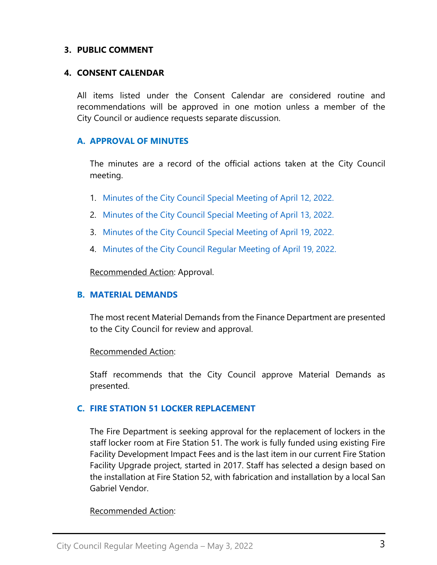### **3. PUBLIC COMMENT**

#### **4. CONSENT CALENDAR**

All items listed under the Consent Calendar are considered routine and recommendations will be approved in one motion unless a member of the City Council or audience requests separate discussion.

### **A. APPROVAL OF MINUTES**

The minutes are a record of the official actions taken at the City Council meeting.

- 1. [Minutes of the City Council Special Meeting of April 12, 2022.](https://www.sangabrielcity.com/DocumentCenter/View/16489/Item-4A1---2022-04-12-Minutes---Special)
- 2. [Minutes of the City Council Special Meeting of April 13, 2022.](https://www.sangabrielcity.com/DocumentCenter/View/16490/Item-4A2---2022-04-13-Minutes---Special)
- 3. [Minutes of the City Council Special](https://www.sangabrielcity.com/DocumentCenter/View/16487/Item-4A3---2022-04-19-Minutes---Specialdocx) Meeting of April 19, 2022.
- 4. [Minutes of the City Council Regular Meeting](https://www.sangabrielcity.com/DocumentCenter/View/16488/Item-4A4---2022-04-19-Minutes---Regular) of April 19, 2022.

Recommended Action: Approval.

#### **B. [MATERIAL DEMANDS](https://www.sangabrielcity.com/DocumentCenter/View/16481/Item-4B---Material-Demands)**

The most recent Material Demands from the Finance Department are presented to the City Council for review and approval.

Recommended Action:

Staff recommends that the City Council approve Material Demands as presented.

## **C. [FIRE STATION 51 LOCKER REPLACEMENT](https://www.sangabrielcity.com/DocumentCenter/View/16491/Item-4D---Fire-Station-51-Lockers-Replacement)**

The Fire Department is seeking approval for the replacement of lockers in the staff locker room at Fire Station 51. The work is fully funded using existing Fire Facility Development Impact Fees and is the last item in our current Fire Station Facility Upgrade project, started in 2017. Staff has selected a design based on the installation at Fire Station 52, with fabrication and installation by a local San Gabriel Vendor.

#### Recommended Action: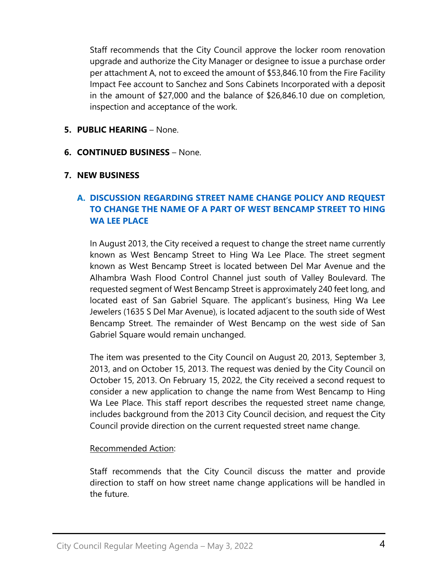Staff recommends that the City Council approve the locker room renovation upgrade and authorize the City Manager or designee to issue a purchase order per attachment A, not to exceed the amount of \$53,846.10 from the Fire Facility Impact Fee account to Sanchez and Sons Cabinets Incorporated with a deposit in the amount of \$27,000 and the balance of \$26,846.10 due on completion, inspection and acceptance of the work.

## **5. PUBLIC HEARING** – None.

**6. CONTINUED BUSINESS** – None.

## **7. NEW BUSINESS**

## **A. [DISCUSSION REGARDING STREET NAME CHANGE POLICY AND REQUEST](https://www.sangabrielcity.com/DocumentCenter/View/16482/Item-7B---Discussion-of-Street-Name-Change-Policy-and-Request-to-Change-Name---W-Bencamp-Street-to-Hing-Wa-Lee-Place)  TO CHANGE [THE NAME OF A PART OF WEST BENCAMP STREET TO HING](https://www.sangabrielcity.com/DocumentCenter/View/16482/Item-7B---Discussion-of-Street-Name-Change-Policy-and-Request-to-Change-Name---W-Bencamp-Street-to-Hing-Wa-Lee-Place)  [WA LEE PLACE](https://www.sangabrielcity.com/DocumentCenter/View/16482/Item-7B---Discussion-of-Street-Name-Change-Policy-and-Request-to-Change-Name---W-Bencamp-Street-to-Hing-Wa-Lee-Place)**

In August 2013, the City received a request to change the street name currently known as West Bencamp Street to Hing Wa Lee Place. The street segment known as West Bencamp Street is located between Del Mar Avenue and the Alhambra Wash Flood Control Channel just south of Valley Boulevard. The requested segment of West Bencamp Street is approximately 240 feet long, and located east of San Gabriel Square. The applicant's business, Hing Wa Lee Jewelers (1635 S Del Mar Avenue), is located adjacent to the south side of West Bencamp Street. The remainder of West Bencamp on the west side of San Gabriel Square would remain unchanged.

The item was presented to the City Council on August 20, 2013, September 3, 2013, and on October 15, 2013. The request was denied by the City Council on October 15, 2013. On February 15, 2022, the City received a second request to consider a new application to change the name from West Bencamp to Hing Wa Lee Place. This staff report describes the requested street name change, includes background from the 2013 City Council decision, and request the City Council provide direction on the current requested street name change.

## Recommended Action:

Staff recommends that the City Council discuss the matter and provide direction to staff on how street name change applications will be handled in the future.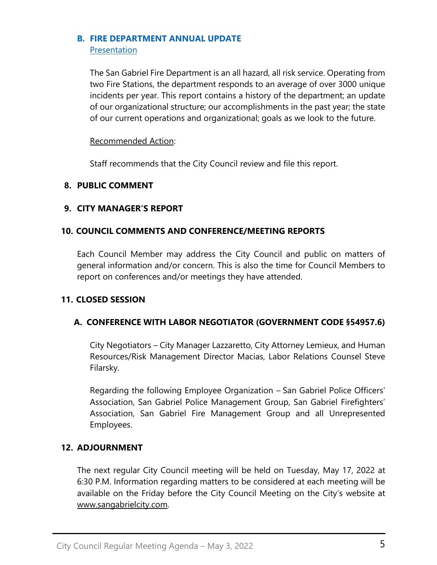#### **B. [FIRE DEPARTMENT ANNUAL UPDATE](https://www.sangabrielcity.com/DocumentCenter/View/16495/Item-7B---Fire-Department-Annual-Update)** [Presentation](https://www.sangabrielcity.com/DocumentCenter/View/16531/Fire-Dept-Annual-Update-Presentation)

The San Gabriel Fire Department is an all hazard, all risk service. Operating from two Fire Stations, the department responds to an average of over 3000 unique incidents per year. This report contains a history of the department; an update of our organizational structure; our accomplishments in the past year; the state of our current operations and organizational; goals as we look to the future.

## Recommended Action:

Staff recommends that the City Council review and file this report.

## **8. PUBLIC COMMENT**

## **9. CITY MANAGER'S REPORT**

## **10. COUNCIL COMMENTS AND CONFERENCE/MEETING REPORTS**

Each Council Member may address the City Council and public on matters of general information and/or concern. This is also the time for Council Members to report on conferences and/or meetings they have attended.

## **11. CLOSED SESSION**

## **A. CONFERENCE WITH LABOR NEGOTIATOR (GOVERNMENT CODE §54957.6)**

City Negotiators – City Manager Lazzaretto, City Attorney Lemieux, and Human Resources/Risk Management Director Macias, Labor Relations Counsel Steve Filarsky.

Regarding the following Employee Organization – San Gabriel Police Officers' Association, San Gabriel Police Management Group, San Gabriel Firefighters' Association, San Gabriel Fire Management Group and all Unrepresented Employees.

## **12. ADJOURNMENT**

The next regular City Council meeting will be held on Tuesday, May 17, 2022 at 6:30 P.M. Information regarding matters to be considered at each meeting will be available on the Friday before the City Council Meeting on the City's website at [www.sangabrielcity.com.](http://www.sangabrielcity.com/)